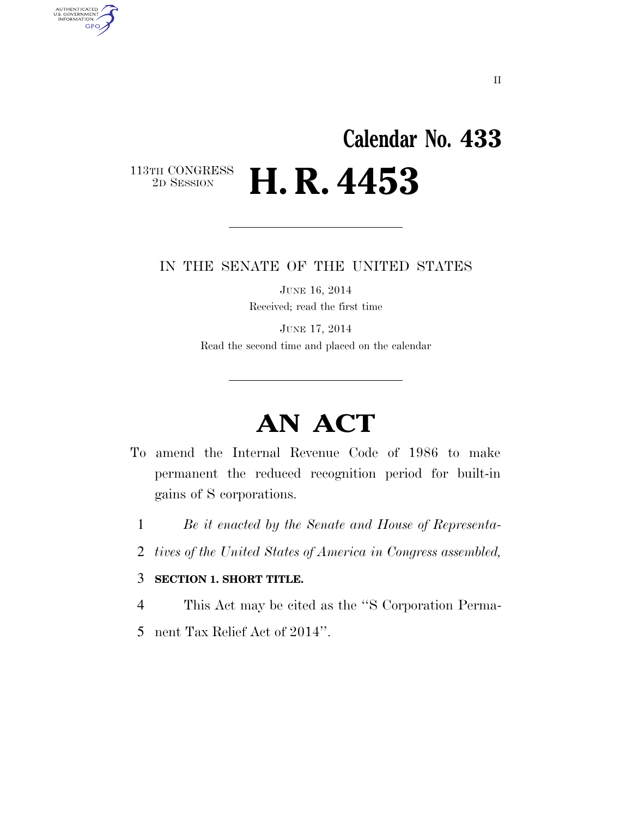## **Calendar No. 433**   $\begin{array}{c} \textbf{113TH CONGRESS} \\ \textbf{2D} \textbf{SESSION} \end{array}$ 2D SESSION **H. R. 4453**

IN THE SENATE OF THE UNITED STATES

JUNE 16, 2014 Received; read the first time

JUNE 17, 2014 Read the second time and placed on the calendar

# **AN ACT**

- To amend the Internal Revenue Code of 1986 to make permanent the reduced recognition period for built-in gains of S corporations.
	- 1 *Be it enacted by the Senate and House of Representa-*
	- 2 *tives of the United States of America in Congress assembled,*

#### 3 **SECTION 1. SHORT TITLE.**

AUTHENTICATED<br>U.S. GOVERNMENT<br>INFORMATION GPO

4 This Act may be cited as the ''S Corporation Perma-

5 nent Tax Relief Act of 2014''.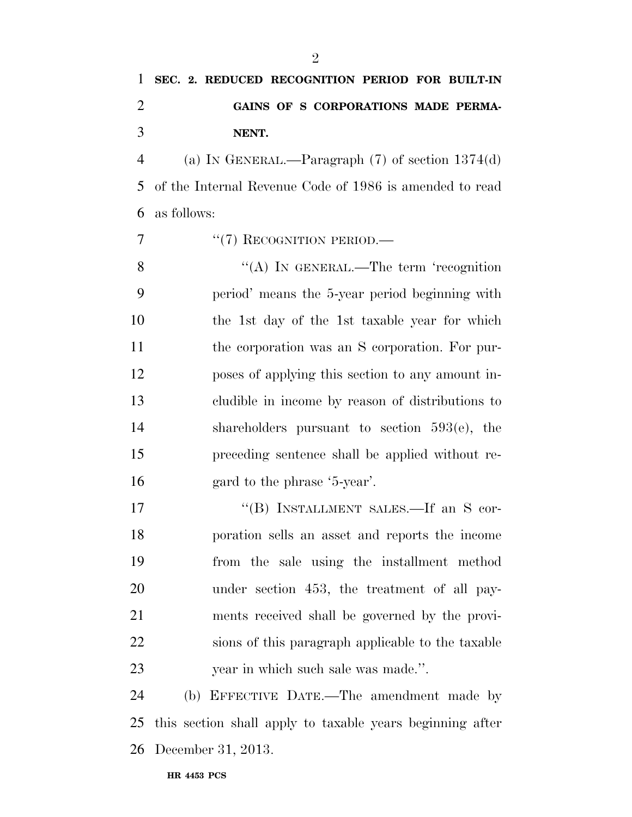### **SEC. 2. REDUCED RECOGNITION PERIOD FOR BUILT-IN GAINS OF S CORPORATIONS MADE PERMA-NENT.**

 (a) IN GENERAL.—Paragraph (7) of section 1374(d) of the Internal Revenue Code of 1986 is amended to read as follows:

7 "(7) RECOGNITION PERIOD.—

8 "(A) IN GENERAL.—The term 'recognition period' means the 5-year period beginning with the 1st day of the 1st taxable year for which the corporation was an S corporation. For pur- poses of applying this section to any amount in- cludible in income by reason of distributions to shareholders pursuant to section 593(e), the preceding sentence shall be applied without re-gard to the phrase '5-year'.

17 "(B) INSTALLMENT SALES.—If an S cor- poration sells an asset and reports the income from the sale using the installment method under section 453, the treatment of all pay- ments received shall be governed by the provi- sions of this paragraph applicable to the taxable year in which such sale was made.''.

 (b) EFFECTIVE DATE.—The amendment made by this section shall apply to taxable years beginning after December 31, 2013.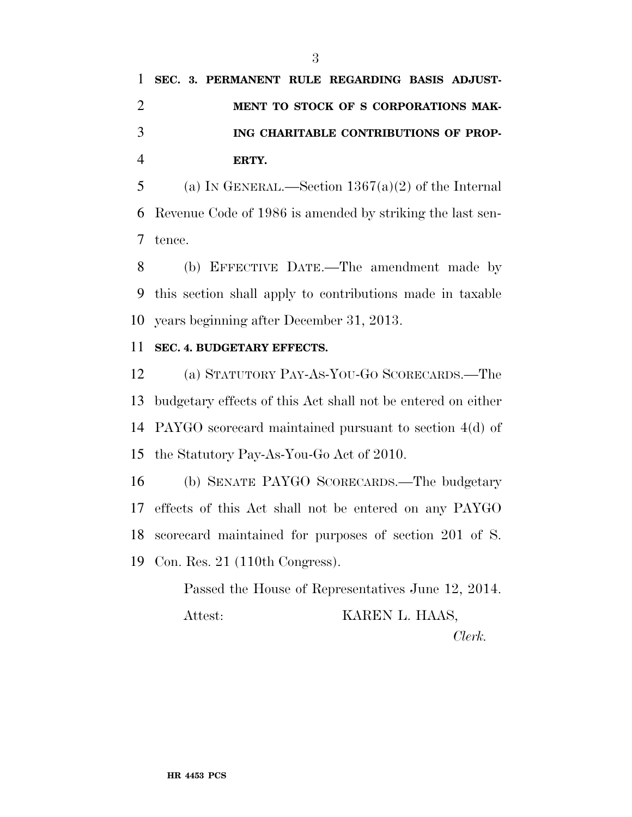## **SEC. 3. PERMANENT RULE REGARDING BASIS ADJUST- MENT TO STOCK OF S CORPORATIONS MAK- ING CHARITABLE CONTRIBUTIONS OF PROP-ERTY.**

5 (a) IN GENERAL.—Section  $1367(a)(2)$  of the Internal Revenue Code of 1986 is amended by striking the last sen-tence.

 (b) EFFECTIVE DATE.—The amendment made by this section shall apply to contributions made in taxable years beginning after December 31, 2013.

#### **SEC. 4. BUDGETARY EFFECTS.**

 (a) STATUTORY PAY-AS-YOU-GO SCORECARDS.—The budgetary effects of this Act shall not be entered on either PAYGO scorecard maintained pursuant to section 4(d) of the Statutory Pay-As-You-Go Act of 2010.

 (b) SENATE PAYGO SCORECARDS.—The budgetary effects of this Act shall not be entered on any PAYGO scorecard maintained for purposes of section 201 of S. Con. Res. 21 (110th Congress).

> Passed the House of Representatives June 12, 2014. Attest: KAREN L. HAAS,

*Clerk.*